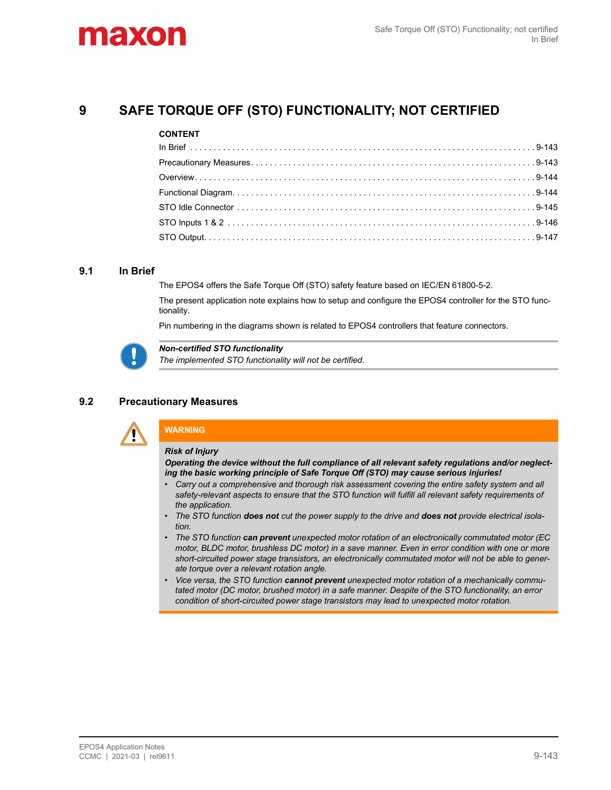# maxo

## 9 SAFE TORQUE OFF (STO) FUNCTIONALITY; NOT CERTIFIED

#### CONTENT

## 9.1 In Brief

The EPOS4 offers the Safe Torque Off (STO) safety feature based on IEC/EN 61800-5-2.

The present application note explains how to setup and configure the EPOS4 controller for the STO functionality.

Pin numbering in the diagrams shown is related to EPOS4 controllers that feature connectors.



Non-certified STO functionality

The implemented STO functionality will not be certified.

## 9.2 Precautionary Measures



## **WARNING**

#### Risk of Injury

Operating the device without the full compliance of all relevant safety regulations and/or neglecting the basic working principle of Safe Torque Off (STO) may cause serious injuries!

- Carry out a comprehensive and thorough risk assessment covering the entire safety system and all safety-relevant aspects to ensure that the STO function will fulfill all relevant safety requirements of the application.
- The STO function does not cut the power supply to the drive and does not provide electrical isolation.
- The STO function can prevent unexpected motor rotation of an electronically commutated motor (EC motor, BLDC motor, brushless DC motor) in a save manner. Even in error condition with one or more short-circuited power stage transistors, an electronically commutated motor will not be able to generate torque over a relevant rotation angle.
- Vice versa, the STO function cannot prevent unexpected motor rotation of a mechanically commutated motor (DC motor, brushed motor) in a safe manner. Despite of the STO functionality, an error condition of short-circuited power stage transistors may lead to unexpected motor rotation.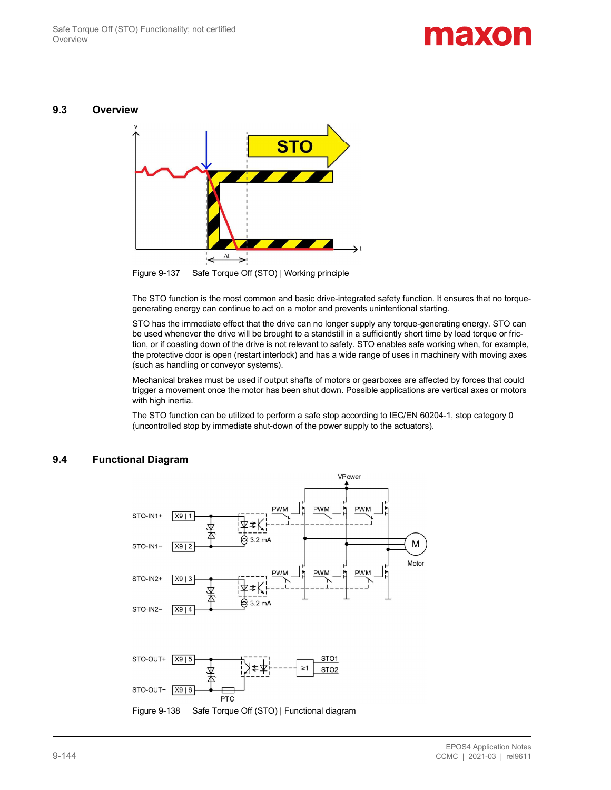# **ALEXOIA**

#### 9.3 Overview



Figure 9-137 Safe Torque Off (STO) | Working principle

The STO function is the most common and basic drive-integrated safety function. It ensures that no torquegenerating energy can continue to act on a motor and prevents unintentional starting.

STO has the immediate effect that the drive can no longer supply any torque-generating energy. STO can be used whenever the drive will be brought to a standstill in a sufficiently short time by load torque or friction, or if coasting down of the drive is not relevant to safety. STO enables safe working when, for example, the protective door is open (restart interlock) and has a wide range of uses in machinery with moving axes (such as handling or conveyor systems).

Mechanical brakes must be used if output shafts of motors or gearboxes are affected by forces that could trigger a movement once the motor has been shut down. Possible applications are vertical axes or motors with high inertia.

The STO function can be utilized to perform a safe stop according to IEC/EN 60204-1, stop category 0 (uncontrolled stop by immediate shut-down of the power supply to the actuators).



## 9.4 Functional Diagram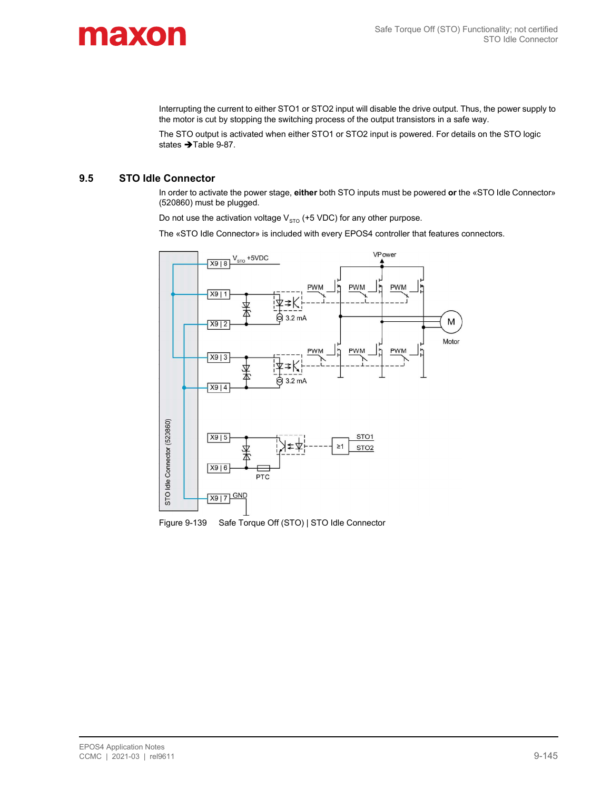

Interrupting the current to either STO1 or STO2 input will disable the drive output. Thus, the power supply to the motor is cut by stopping the switching process of the output transistors in a safe way.

The STO output is activated when either STO1 or STO2 input is powered. For details on the STO logic states  $\rightarrow$  Table 9-87.

### 9.5 STO Idle Connector

In order to activate the power stage, either both STO inputs must be powered or the «STO Idle Connector» (520860) must be plugged.

Do not use the activation voltage  $V_{STO}$  (+5 VDC) for any other purpose.

The «STO Idle Connector» is included with every EPOS4 controller that features connectors.

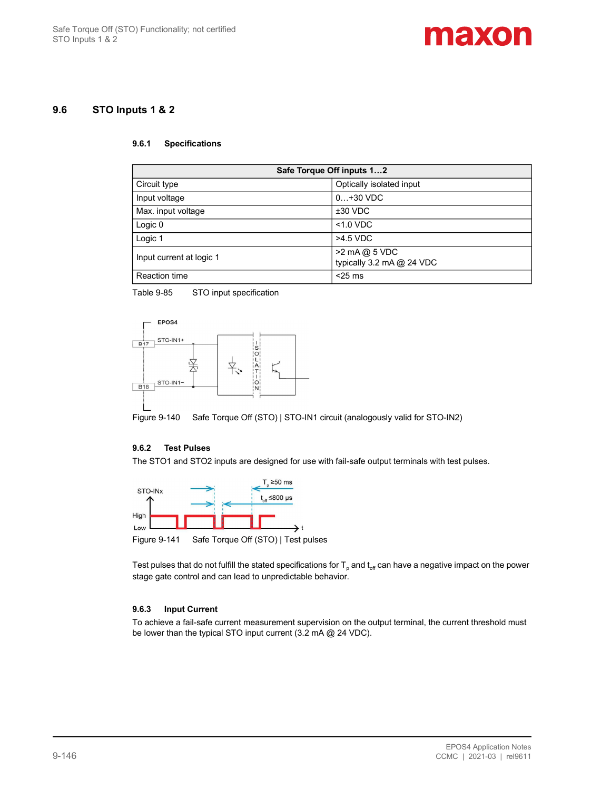

## 9.6 STO Inputs 1 & 2

#### 9.6.1 Specifications

| Safe Torque Off inputs 12 |                                            |  |  |
|---------------------------|--------------------------------------------|--|--|
| Circuit type              | Optically isolated input                   |  |  |
| Input voltage             | $0+30$ VDC                                 |  |  |
| Max. input voltage        | $±30$ VDC                                  |  |  |
| Logic 0                   | $< 1.0$ VDC                                |  |  |
| Logic 1                   | >4.5 VDC                                   |  |  |
| Input current at logic 1  | >2 mA @ 5 VDC<br>typically 3.2 mA @ 24 VDC |  |  |
| <b>Reaction time</b>      | $<$ 25 ms                                  |  |  |

Table 9-85 STO input specification





#### 9.6.2 Test Pulses

The STO1 and STO2 inputs are designed for use with fail-safe output terminals with test pulses.



Figure 9-141 Safe Torque Off (STO) | Test pulses

Test pulses that do not fulfill the stated specifications for  ${\sf T_p}$  and  ${\sf t_{\rm off}}$  can have a negative impact on the power stage gate control and can lead to unpredictable behavior.

#### 9.6.3 Input Current

To achieve a fail-safe current measurement supervision on the output terminal, the current threshold must be lower than the typical STO input current (3.2 mA @ 24 VDC).